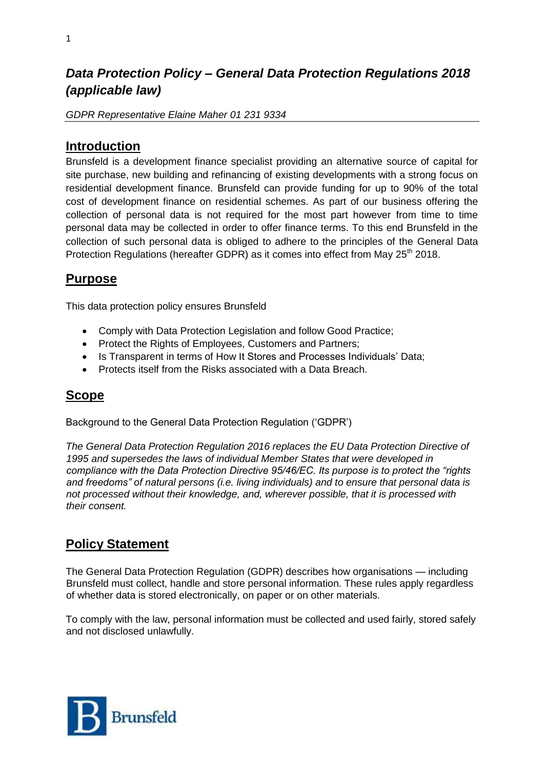# *Data Protection Policy – General Data Protection Regulations 2018 (applicable law)*

*GDPR Representative Elaine Maher 01 231 9334* 

### **Introduction**

Brunsfeld is a development finance specialist providing an alternative source of capital for site purchase, new building and refinancing of existing developments with a strong focus on residential development finance. Brunsfeld can provide funding for up to 90% of the total cost of development finance on residential schemes. As part of our business offering the collection of personal data is not required for the most part however from time to time personal data may be collected in order to offer finance terms. To this end Brunsfeld in the collection of such personal data is obliged to adhere to the principles of the General Data Protection Regulations (hereafter GDPR) as it comes into effect from May 25<sup>th</sup> 2018.

### **Purpose**

This data protection policy ensures Brunsfeld

- Comply with Data Protection Legislation and follow Good Practice;
- Protect the Rights of Employees, Customers and Partners;
- Is Transparent in terms of How It Stores and Processes Individuals' Data:
- Protects itself from the Risks associated with a Data Breach.

## **Scope**

Background to the General Data Protection Regulation ('GDPR')

*The General Data Protection Regulation 2016 replaces the EU Data Protection Directive of 1995 and supersedes the laws of individual Member States that were developed in compliance with the Data Protection Directive 95/46/EC. Its purpose is to protect the "rights and freedoms" of natural persons (i.e. living individuals) and to ensure that personal data is not processed without their knowledge, and, wherever possible, that it is processed with their consent.* 

## **Policy Statement**

The General Data Protection Regulation (GDPR) describes how organisations — including Brunsfeld must collect, handle and store personal information. These rules apply regardless of whether data is stored electronically, on paper or on other materials.

To comply with the law, personal information must be collected and used fairly, stored safely and not disclosed unlawfully.

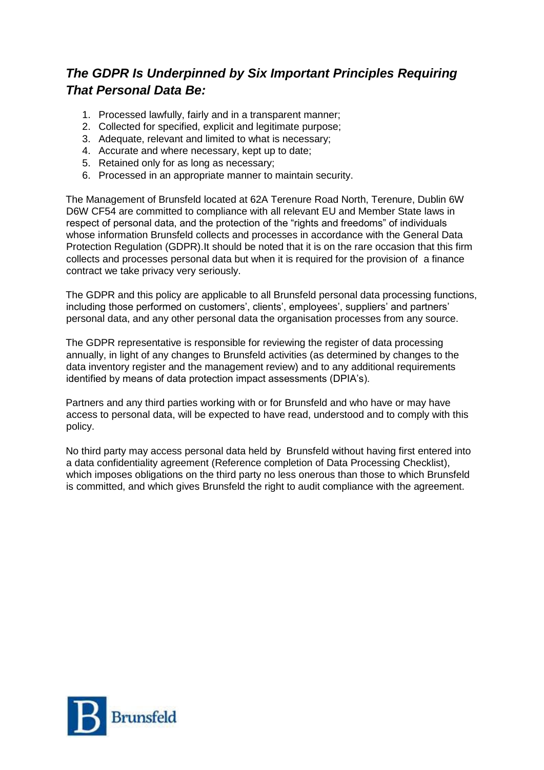# *The GDPR Is Underpinned by Six Important Principles Requiring That Personal Data Be:*

- 1. Processed lawfully, fairly and in a transparent manner;
- 2. Collected for specified, explicit and legitimate purpose;
- 3. Adequate, relevant and limited to what is necessary;
- 4. Accurate and where necessary, kept up to date;
- 5. Retained only for as long as necessary;
- 6. Processed in an appropriate manner to maintain security.

The Management of Brunsfeld located at 62A Terenure Road North, Terenure, Dublin 6W D6W CF54 are committed to compliance with all relevant EU and Member State laws in respect of personal data, and the protection of the "rights and freedoms" of individuals whose information Brunsfeld collects and processes in accordance with the General Data Protection Regulation (GDPR).It should be noted that it is on the rare occasion that this firm collects and processes personal data but when it is required for the provision of a finance contract we take privacy very seriously.

The GDPR and this policy are applicable to all Brunsfeld personal data processing functions, including those performed on customers', clients', employees', suppliers' and partners' personal data, and any other personal data the organisation processes from any source.

The GDPR representative is responsible for reviewing the register of data processing annually, in light of any changes to Brunsfeld activities (as determined by changes to the data inventory register and the management review) and to any additional requirements identified by means of data protection impact assessments (DPIA's).

Partners and any third parties working with or for Brunsfeld and who have or may have access to personal data, will be expected to have read, understood and to comply with this policy.

No third party may access personal data held by Brunsfeld without having first entered into a data confidentiality agreement (Reference completion of Data Processing Checklist), which imposes obligations on the third party no less onerous than those to which Brunsfeld is committed, and which gives Brunsfeld the right to audit compliance with the agreement.

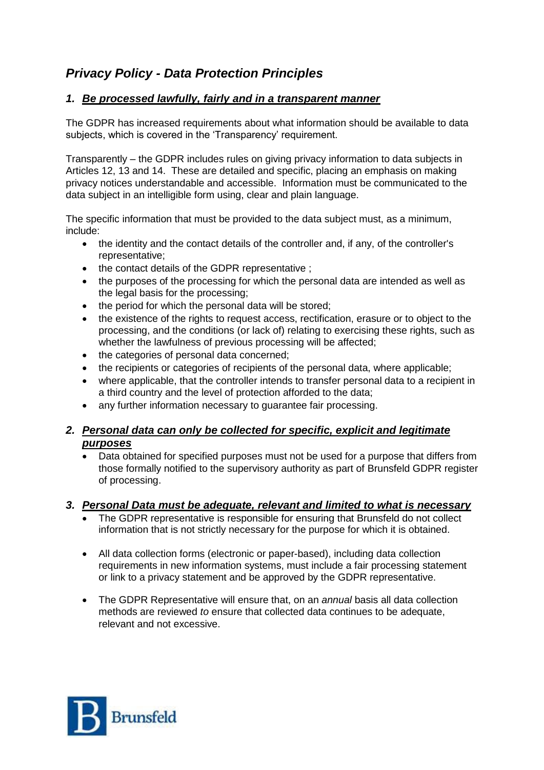# *Privacy Policy - Data Protection Principles*

### *1. Be processed lawfully, fairly and in a transparent manner*

The GDPR has increased requirements about what information should be available to data subjects, which is covered in the 'Transparency' requirement.

Transparently – the GDPR includes rules on giving privacy information to data subjects in Articles 12, 13 and 14. These are detailed and specific, placing an emphasis on making privacy notices understandable and accessible. Information must be communicated to the data subject in an intelligible form using, clear and plain language.

The specific information that must be provided to the data subject must, as a minimum, include:

- the identity and the contact details of the controller and, if any, of the controller's representative;
- the contact details of the GDPR representative ;
- the purposes of the processing for which the personal data are intended as well as the legal basis for the processing;
- the period for which the personal data will be stored;
- the existence of the rights to request access, rectification, erasure or to object to the processing, and the conditions (or lack of) relating to exercising these rights, such as whether the lawfulness of previous processing will be affected;
- the categories of personal data concerned;
- the recipients or categories of recipients of the personal data, where applicable;
- where applicable, that the controller intends to transfer personal data to a recipient in a third country and the level of protection afforded to the data;
- any further information necessary to guarantee fair processing.

### *2. Personal data can only be collected for specific, explicit and legitimate purposes*

• Data obtained for specified purposes must not be used for a purpose that differs from those formally notified to the supervisory authority as part of Brunsfeld GDPR register of processing.

### *3. Personal Data must be adequate, relevant and limited to what is necessary*

- The GDPR representative is responsible for ensuring that Brunsfeld do not collect information that is not strictly necessary for the purpose for which it is obtained.
- All data collection forms (electronic or paper-based), including data collection requirements in new information systems, must include a fair processing statement or link to a privacy statement and be approved by the GDPR representative.
- The GDPR Representative will ensure that, on an *annual* basis all data collection methods are reviewed *to* ensure that collected data continues to be adequate, relevant and not excessive.

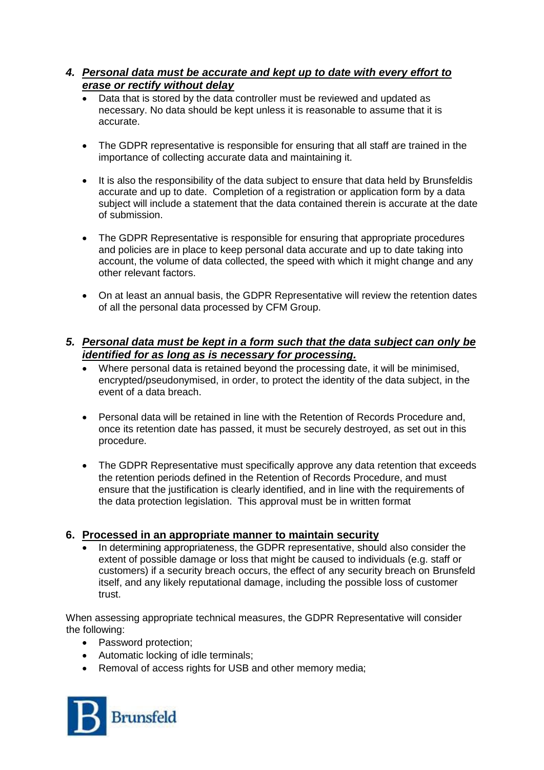### *4. Personal data must be accurate and kept up to date with every effort to erase or rectify without delay*

- Data that is stored by the data controller must be reviewed and updated as necessary. No data should be kept unless it is reasonable to assume that it is accurate.
- The GDPR representative is responsible for ensuring that all staff are trained in the importance of collecting accurate data and maintaining it.
- It is also the responsibility of the data subject to ensure that data held by Brunsfeldis accurate and up to date. Completion of a registration or application form by a data subject will include a statement that the data contained therein is accurate at the date of submission.
- The GDPR Representative is responsible for ensuring that appropriate procedures and policies are in place to keep personal data accurate and up to date taking into account, the volume of data collected, the speed with which it might change and any other relevant factors.
- On at least an annual basis, the GDPR Representative will review the retention dates of all the personal data processed by CFM Group.

### *5. Personal data must be kept in a form such that the data subject can only be identified for as long as is necessary for processing.*

- Where personal data is retained beyond the processing date, it will be minimised, encrypted/pseudonymised, in order, to protect the identity of the data subject, in the event of a data breach.
- Personal data will be retained in line with the Retention of Records Procedure and, once its retention date has passed, it must be securely destroyed, as set out in this procedure.
- The GDPR Representative must specifically approve any data retention that exceeds the retention periods defined in the Retention of Records Procedure, and must ensure that the justification is clearly identified, and in line with the requirements of the data protection legislation. This approval must be in written format

### **6. Processed in an appropriate manner to maintain security**

 In determining appropriateness, the GDPR representative, should also consider the extent of possible damage or loss that might be caused to individuals (e.g. staff or customers) if a security breach occurs, the effect of any security breach on Brunsfeld itself, and any likely reputational damage, including the possible loss of customer trust.

When assessing appropriate technical measures, the GDPR Representative will consider the following:

- Password protection:
- Automatic locking of idle terminals;
- Removal of access rights for USB and other memory media;

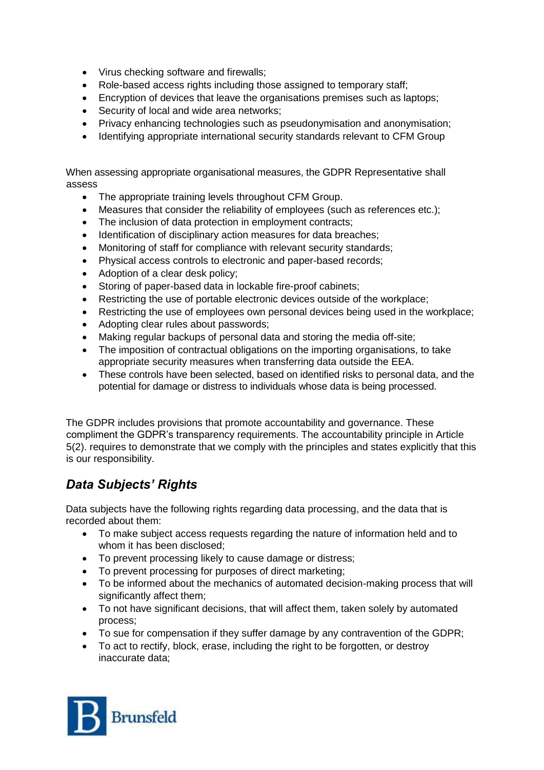- Virus checking software and firewalls;
- Role-based access rights including those assigned to temporary staff;
- Encryption of devices that leave the organisations premises such as laptops;
- Security of local and wide area networks;
- Privacy enhancing technologies such as pseudonymisation and anonymisation;
- Identifying appropriate international security standards relevant to CFM Group

When assessing appropriate organisational measures, the GDPR Representative shall assess

- The appropriate training levels throughout CFM Group.
- Measures that consider the reliability of employees (such as references etc.);
- The inclusion of data protection in employment contracts;
- Identification of disciplinary action measures for data breaches;
- Monitoring of staff for compliance with relevant security standards;
- Physical access controls to electronic and paper-based records;
- Adoption of a clear desk policy;
- Storing of paper-based data in lockable fire-proof cabinets:
- Restricting the use of portable electronic devices outside of the workplace;
- Restricting the use of employees own personal devices being used in the workplace;
- Adopting clear rules about passwords;
- Making regular backups of personal data and storing the media off-site;
- The imposition of contractual obligations on the importing organisations, to take appropriate security measures when transferring data outside the EEA.
- These controls have been selected, based on identified risks to personal data, and the potential for damage or distress to individuals whose data is being processed.

The GDPR includes provisions that promote accountability and governance. These compliment the GDPR's transparency requirements. The accountability principle in Article 5(2). requires to demonstrate that we comply with the principles and states explicitly that this is our responsibility.

# *Data Subjects' Rights*

Data subjects have the following rights regarding data processing, and the data that is recorded about them:

- To make subject access requests regarding the nature of information held and to whom it has been disclosed;
- To prevent processing likely to cause damage or distress;
- To prevent processing for purposes of direct marketing;
- To be informed about the mechanics of automated decision-making process that will significantly affect them;
- To not have significant decisions, that will affect them, taken solely by automated process;
- To sue for compensation if they suffer damage by any contravention of the GDPR;
- To act to rectify, block, erase, including the right to be forgotten, or destroy inaccurate data;

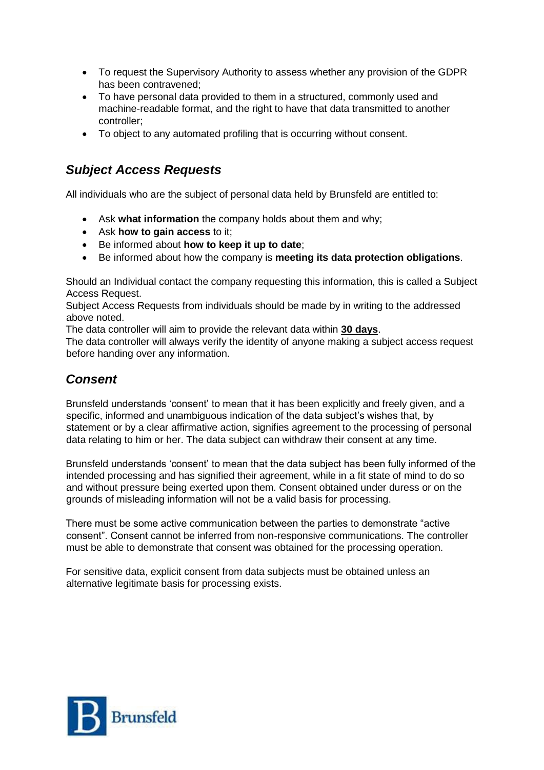- To request the Supervisory Authority to assess whether any provision of the GDPR has been contravened;
- To have personal data provided to them in a structured, commonly used and machine-readable format, and the right to have that data transmitted to another controller;
- To object to any automated profiling that is occurring without consent.

# *Subject Access Requests*

All individuals who are the subject of personal data held by Brunsfeld are entitled to:

- Ask **what information** the company holds about them and why;
- Ask **how to gain access** to it;
- Be informed about **how to keep it up to date**;
- Be informed about how the company is **meeting its data protection obligations**.

Should an Individual contact the company requesting this information, this is called a Subject Access Request.

Subject Access Requests from individuals should be made by in writing to the addressed above noted.

The data controller will aim to provide the relevant data within **30 days**.

The data controller will always verify the identity of anyone making a subject access request before handing over any information.

## *Consent*

Brunsfeld understands 'consent' to mean that it has been explicitly and freely given, and a specific, informed and unambiguous indication of the data subject's wishes that, by statement or by a clear affirmative action, signifies agreement to the processing of personal data relating to him or her. The data subject can withdraw their consent at any time.

Brunsfeld understands 'consent' to mean that the data subject has been fully informed of the intended processing and has signified their agreement, while in a fit state of mind to do so and without pressure being exerted upon them. Consent obtained under duress or on the grounds of misleading information will not be a valid basis for processing.

There must be some active communication between the parties to demonstrate "active consent". Consent cannot be inferred from non-responsive communications. The controller must be able to demonstrate that consent was obtained for the processing operation.

For sensitive data, explicit consent from data subjects must be obtained unless an alternative legitimate basis for processing exists.

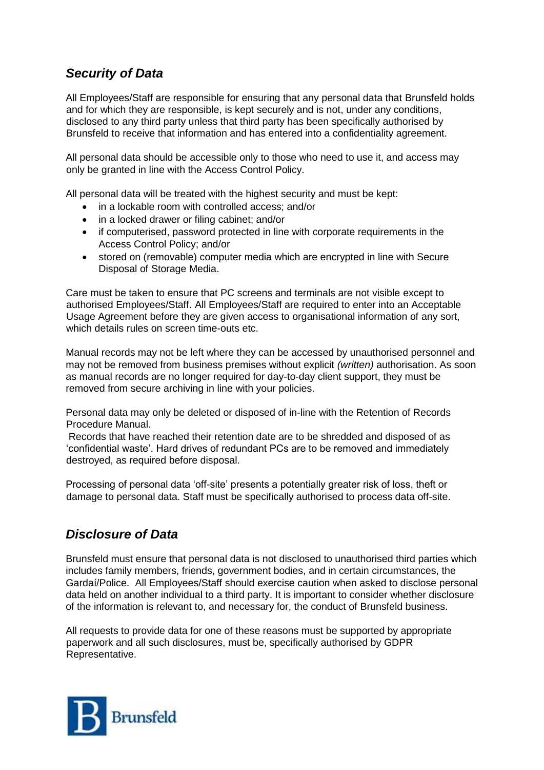# *Security of Data*

All Employees/Staff are responsible for ensuring that any personal data that Brunsfeld holds and for which they are responsible, is kept securely and is not, under any conditions, disclosed to any third party unless that third party has been specifically authorised by Brunsfeld to receive that information and has entered into a confidentiality agreement.

All personal data should be accessible only to those who need to use it, and access may only be granted in line with the Access Control Policy.

All personal data will be treated with the highest security and must be kept:

- in a lockable room with controlled access: and/or
- in a locked drawer or filing cabinet; and/or
- if computerised, password protected in line with corporate requirements in the Access Control Policy; and/or
- stored on (removable) computer media which are encrypted in line with Secure Disposal of Storage Media.

Care must be taken to ensure that PC screens and terminals are not visible except to authorised Employees/Staff. All Employees/Staff are required to enter into an Acceptable Usage Agreement before they are given access to organisational information of any sort, which details rules on screen time-outs etc.

Manual records may not be left where they can be accessed by unauthorised personnel and may not be removed from business premises without explicit *(written)* authorisation. As soon as manual records are no longer required for day-to-day client support, they must be removed from secure archiving in line with your policies.

Personal data may only be deleted or disposed of in-line with the Retention of Records Procedure Manual.

Records that have reached their retention date are to be shredded and disposed of as 'confidential waste'. Hard drives of redundant PCs are to be removed and immediately destroyed, as required before disposal.

Processing of personal data 'off-site' presents a potentially greater risk of loss, theft or damage to personal data. Staff must be specifically authorised to process data off-site.

## *Disclosure of Data*

Brunsfeld must ensure that personal data is not disclosed to unauthorised third parties which includes family members, friends, government bodies, and in certain circumstances, the Gardaí/Police. All Employees/Staff should exercise caution when asked to disclose personal data held on another individual to a third party. It is important to consider whether disclosure of the information is relevant to, and necessary for, the conduct of Brunsfeld business.

All requests to provide data for one of these reasons must be supported by appropriate paperwork and all such disclosures, must be, specifically authorised by GDPR Representative.

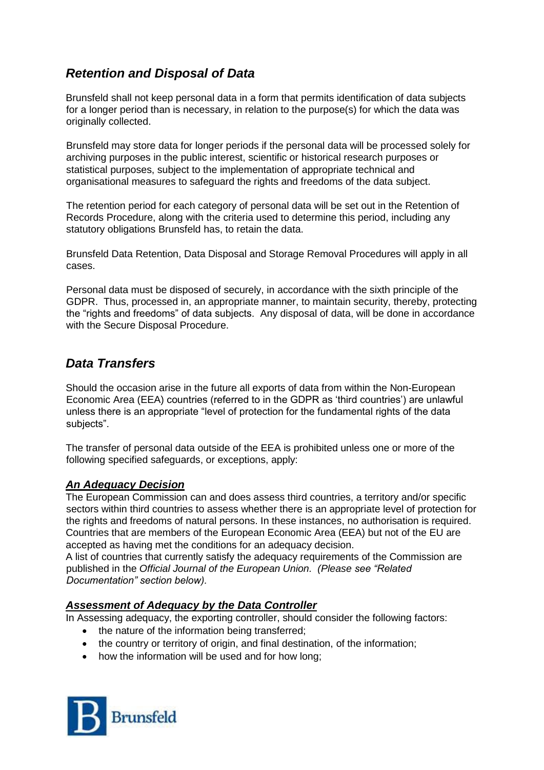# *Retention and Disposal of Data*

Brunsfeld shall not keep personal data in a form that permits identification of data subjects for a longer period than is necessary, in relation to the purpose(s) for which the data was originally collected.

Brunsfeld may store data for longer periods if the personal data will be processed solely for archiving purposes in the public interest, scientific or historical research purposes or statistical purposes, subject to the implementation of appropriate technical and organisational measures to safeguard the rights and freedoms of the data subject.

The retention period for each category of personal data will be set out in the Retention of Records Procedure, along with the criteria used to determine this period, including any statutory obligations Brunsfeld has, to retain the data.

Brunsfeld Data Retention, Data Disposal and Storage Removal Procedures will apply in all cases.

Personal data must be disposed of securely, in accordance with the sixth principle of the GDPR. Thus, processed in, an appropriate manner, to maintain security, thereby, protecting the "rights and freedoms" of data subjects. Any disposal of data, will be done in accordance with the Secure Disposal Procedure.

## *Data Transfers*

Should the occasion arise in the future all exports of data from within the Non-European Economic Area (EEA) countries (referred to in the GDPR as 'third countries') are unlawful unless there is an appropriate "level of protection for the fundamental rights of the data subjects".

The transfer of personal data outside of the EEA is prohibited unless one or more of the following specified safeguards, or exceptions, apply:

### *An Adequacy Decision*

The European Commission can and does assess third countries, a territory and/or specific sectors within third countries to assess whether there is an appropriate level of protection for the rights and freedoms of natural persons. In these instances, no authorisation is required. Countries that are members of the European Economic Area (EEA) but not of the EU are accepted as having met the conditions for an adequacy decision.

A list of countries that currently satisfy the adequacy requirements of the Commission are published in the *Official Journal of the European Union. (Please see "Related Documentation" section below).*

### *Assessment of Adequacy by the Data Controller*

In Assessing adequacy, the exporting controller, should consider the following factors:

- the nature of the information being transferred;
- the country or territory of origin, and final destination, of the information;
- how the information will be used and for how long:

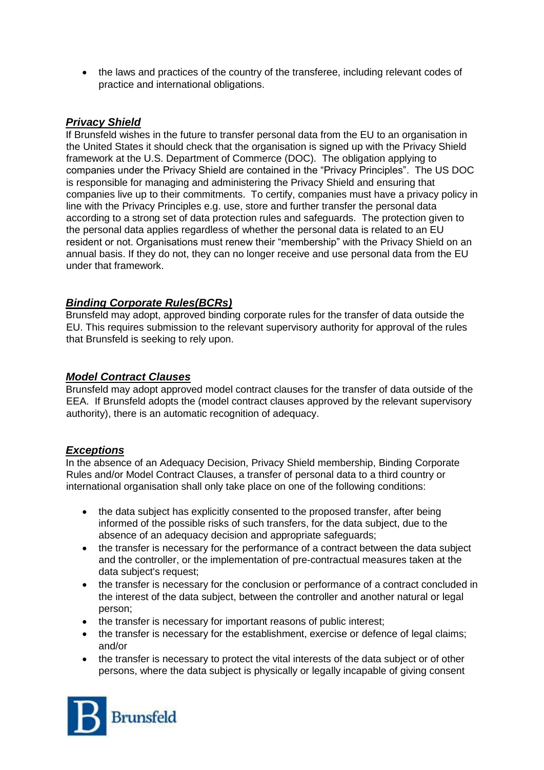• the laws and practices of the country of the transferee, including relevant codes of practice and international obligations.

### *Privacy Shield*

If Brunsfeld wishes in the future to transfer personal data from the EU to an organisation in the United States it should check that the organisation is signed up with the Privacy Shield framework at the U.S. Department of Commerce (DOC). The obligation applying to companies under the Privacy Shield are contained in the "Privacy Principles". The US DOC is responsible for managing and administering the Privacy Shield and ensuring that companies live up to their commitments. To certify, companies must have a privacy policy in line with the Privacy Principles e.g. use, store and further transfer the personal data according to a strong set of data protection rules and safeguards. The protection given to the personal data applies regardless of whether the personal data is related to an EU resident or not. Organisations must renew their "membership" with the Privacy Shield on an annual basis. If they do not, they can no longer receive and use personal data from the EU under that framework.

### *Binding Corporate Rules(BCRs)*

Brunsfeld may adopt, approved binding corporate rules for the transfer of data outside the EU. This requires submission to the relevant supervisory authority for approval of the rules that Brunsfeld is seeking to rely upon.

### *Model Contract Clauses*

Brunsfeld may adopt approved model contract clauses for the transfer of data outside of the EEA. If Brunsfeld adopts the (model contract clauses approved by the relevant supervisory authority), there is an automatic recognition of adequacy.

#### *Exceptions*

In the absence of an Adequacy Decision, Privacy Shield membership, Binding Corporate Rules and/or Model Contract Clauses, a transfer of personal data to a third country or international organisation shall only take place on one of the following conditions:

- the data subject has explicitly consented to the proposed transfer, after being informed of the possible risks of such transfers, for the data subject, due to the absence of an adequacy decision and appropriate safeguards;
- the transfer is necessary for the performance of a contract between the data subject and the controller, or the implementation of pre-contractual measures taken at the data subject's request;
- the transfer is necessary for the conclusion or performance of a contract concluded in the interest of the data subject, between the controller and another natural or legal person;
- the transfer is necessary for important reasons of public interest;
- the transfer is necessary for the establishment, exercise or defence of legal claims; and/or
- the transfer is necessary to protect the vital interests of the data subject or of other persons, where the data subject is physically or legally incapable of giving consent

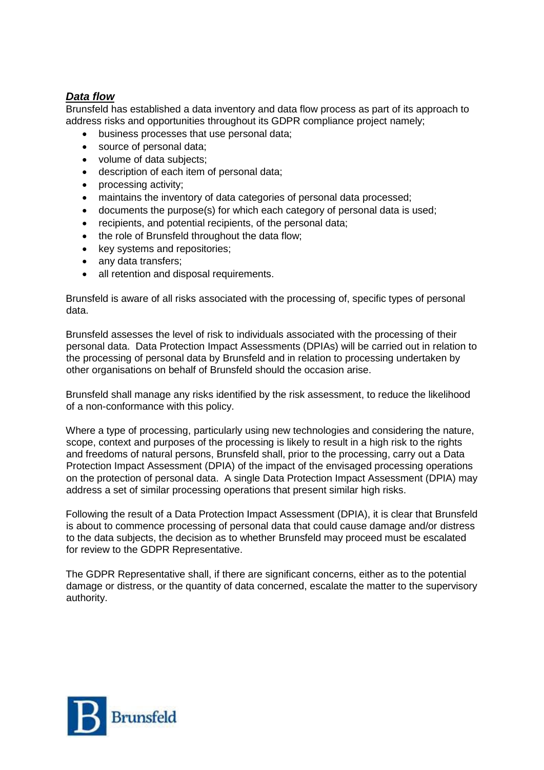### *Data flow*

Brunsfeld has established a data inventory and data flow process as part of its approach to address risks and opportunities throughout its GDPR compliance project namely;

- business processes that use personal data;
- source of personal data;
- volume of data subiects:
- description of each item of personal data;
- processing activity;
- maintains the inventory of data categories of personal data processed;
- documents the purpose(s) for which each category of personal data is used;
- recipients, and potential recipients, of the personal data;
- the role of Brunsfeld throughout the data flow;
- key systems and repositories;
- any data transfers:
- all retention and disposal requirements.

Brunsfeld is aware of all risks associated with the processing of, specific types of personal data.

Brunsfeld assesses the level of risk to individuals associated with the processing of their personal data. Data Protection Impact Assessments (DPIAs) will be carried out in relation to the processing of personal data by Brunsfeld and in relation to processing undertaken by other organisations on behalf of Brunsfeld should the occasion arise.

Brunsfeld shall manage any risks identified by the risk assessment, to reduce the likelihood of a non-conformance with this policy.

Where a type of processing, particularly using new technologies and considering the nature, scope, context and purposes of the processing is likely to result in a high risk to the rights and freedoms of natural persons, Brunsfeld shall, prior to the processing, carry out a Data Protection Impact Assessment (DPIA) of the impact of the envisaged processing operations on the protection of personal data. A single Data Protection Impact Assessment (DPIA) may address a set of similar processing operations that present similar high risks.

Following the result of a Data Protection Impact Assessment (DPIA), it is clear that Brunsfeld is about to commence processing of personal data that could cause damage and/or distress to the data subjects, the decision as to whether Brunsfeld may proceed must be escalated for review to the GDPR Representative.

The GDPR Representative shall, if there are significant concerns, either as to the potential damage or distress, or the quantity of data concerned, escalate the matter to the supervisory authority.

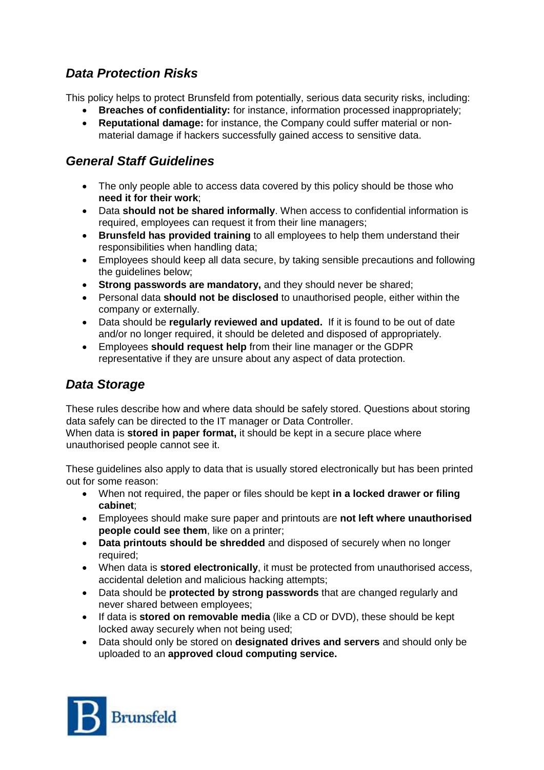# *Data Protection Risks*

This policy helps to protect Brunsfeld from potentially, serious data security risks, including:

- **Breaches of confidentiality:** for instance, information processed inappropriately;
- **Reputational damage:** for instance, the Company could suffer material or nonmaterial damage if hackers successfully gained access to sensitive data.

# *General Staff Guidelines*

- The only people able to access data covered by this policy should be those who **need it for their work**;
- Data **should not be shared informally**. When access to confidential information is required, employees can request it from their line managers;
- **Brunsfeld has provided training** to all employees to help them understand their responsibilities when handling data;
- Employees should keep all data secure, by taking sensible precautions and following the guidelines below;
- **Strong passwords are mandatory,** and they should never be shared;
- Personal data **should not be disclosed** to unauthorised people, either within the company or externally.
- Data should be **regularly reviewed and updated.** If it is found to be out of date and/or no longer required, it should be deleted and disposed of appropriately.
- Employees **should request help** from their line manager or the GDPR representative if they are unsure about any aspect of data protection.

# *Data Storage*

These rules describe how and where data should be safely stored. Questions about storing data safely can be directed to the IT manager or Data Controller. When data is **stored in paper format,** it should be kept in a secure place where unauthorised people cannot see it.

These guidelines also apply to data that is usually stored electronically but has been printed out for some reason:

- When not required, the paper or files should be kept **in a locked drawer or filing cabinet**;
- Employees should make sure paper and printouts are **not left where unauthorised people could see them**, like on a printer;
- **Data printouts should be shredded** and disposed of securely when no longer required;
- When data is **stored electronically**, it must be protected from unauthorised access, accidental deletion and malicious hacking attempts;
- Data should be **protected by strong passwords** that are changed regularly and never shared between employees;
- If data is **stored on removable media** (like a CD or DVD), these should be kept locked away securely when not being used;
- Data should only be stored on **designated drives and servers** and should only be uploaded to an **approved cloud computing service.**

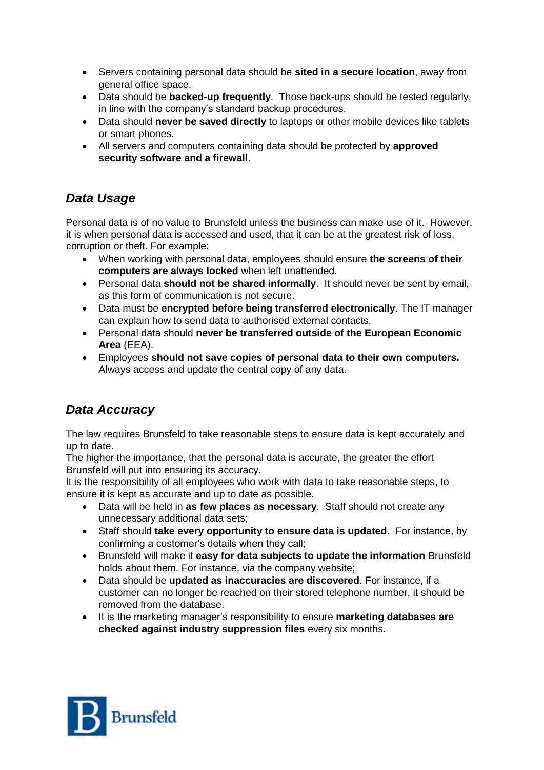- Servers containing personal data should be **sited in a secure location**, away from general office space.
- Data should be **backed-up frequently**. Those back-ups should be tested regularly, in line with the company's standard backup procedures.
- Data should **never be saved directly** to laptops or other mobile devices like tablets or smart phones.
- All servers and computers containing data should be protected by **approved security software and a firewall**.

# *Data Usage*

Personal data is of no value to Brunsfeld unless the business can make use of it. However, it is when personal data is accessed and used, that it can be at the greatest risk of loss, corruption or theft. For example:

- When working with personal data, employees should ensure **the screens of their computers are always locked** when left unattended.
- Personal data **should not be shared informally**. It should never be sent by email, as this form of communication is not secure.
- Data must be **encrypted before being transferred electronically**. The IT manager can explain how to send data to authorised external contacts.
- Personal data should **never be transferred outside of the European Economic Area** (EEA).
- Employees **should not save copies of personal data to their own computers.**  Always access and update the central copy of any data.

# *Data Accuracy*

The law requires Brunsfeld to take reasonable steps to ensure data is kept accurately and up to date.

The higher the importance, that the personal data is accurate, the greater the effort Brunsfeld will put into ensuring its accuracy.

It is the responsibility of all employees who work with data to take reasonable steps, to ensure it is kept as accurate and up to date as possible.

- Data will be held in **as few places as necessary**. Staff should not create any unnecessary additional data sets;
- Staff should **take every opportunity to ensure data is updated.** For instance, by confirming a customer's details when they call;
- Brunsfeld will make it **easy for data subjects to update the information** Brunsfeld holds about them. For instance, via the company website;
- Data should be **updated as inaccuracies are discovered**. For instance, if a customer can no longer be reached on their stored telephone number, it should be removed from the database.
- It is the marketing manager's responsibility to ensure **marketing databases are checked against industry suppression files** every six months.

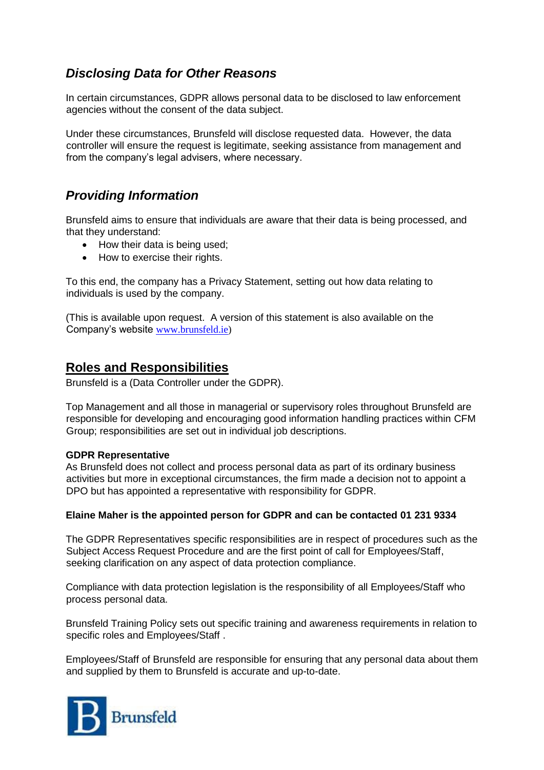# *Disclosing Data for Other Reasons*

In certain circumstances, GDPR allows personal data to be disclosed to law enforcement agencies without the consent of the data subject.

Under these circumstances, Brunsfeld will disclose requested data. However, the data controller will ensure the request is legitimate, seeking assistance from management and from the company's legal advisers, where necessary.

# *Providing Information*

Brunsfeld aims to ensure that individuals are aware that their data is being processed, and that they understand:

- How their data is being used;
- How to exercise their rights.

To this end, the company has a Privacy Statement, setting out how data relating to individuals is used by the company.

(This is available upon request. A version of this statement is also available on the Company's website [www.brunsfeld.ie\)](http://www.brunsfeld.ie/)

### **Roles and Responsibilities**

Brunsfeld is a (Data Controller under the GDPR).

Top Management and all those in managerial or supervisory roles throughout Brunsfeld are responsible for developing and encouraging good information handling practices within CFM Group; responsibilities are set out in individual job descriptions.

#### **GDPR Representative**

As Brunsfeld does not collect and process personal data as part of its ordinary business activities but more in exceptional circumstances, the firm made a decision not to appoint a DPO but has appointed a representative with responsibility for GDPR.

#### **Elaine Maher is the appointed person for GDPR and can be contacted 01 231 9334**

The GDPR Representatives specific responsibilities are in respect of procedures such as the Subject Access Request Procedure and are the first point of call for Employees/Staff, seeking clarification on any aspect of data protection compliance.

Compliance with data protection legislation is the responsibility of all Employees/Staff who process personal data.

Brunsfeld Training Policy sets out specific training and awareness requirements in relation to specific roles and Employees/Staff .

Employees/Staff of Brunsfeld are responsible for ensuring that any personal data about them and supplied by them to Brunsfeld is accurate and up-to-date.

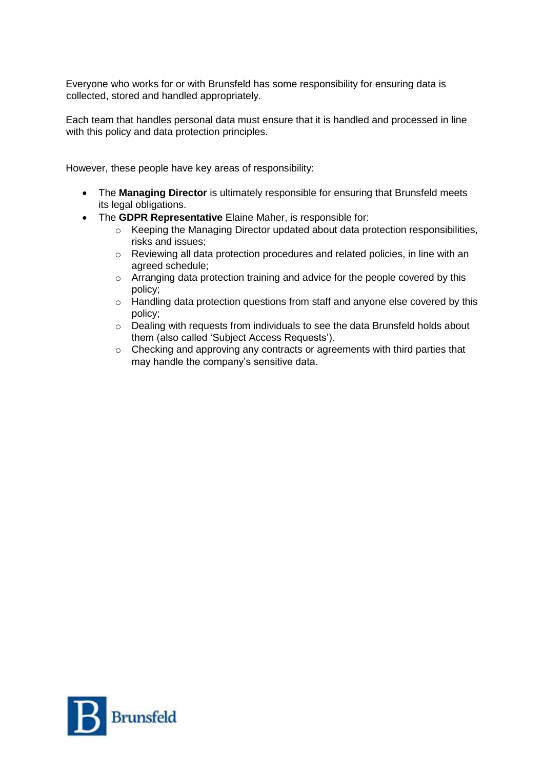Everyone who works for or with Brunsfeld has some responsibility for ensuring data is collected, stored and handled appropriately.

Each team that handles personal data must ensure that it is handled and processed in line with this policy and data protection principles.

However, these people have key areas of responsibility:

- The **Managing Director** is ultimately responsible for ensuring that Brunsfeld meets its legal obligations.
- The **GDPR Representative** Elaine Maher, is responsible for:
	- o Keeping the Managing Director updated about data protection responsibilities, risks and issues;
	- $\circ$  Reviewing all data protection procedures and related policies, in line with an agreed schedule;
	- o Arranging data protection training and advice for the people covered by this policy;
	- o Handling data protection questions from staff and anyone else covered by this policy;
	- $\circ$  Dealing with requests from individuals to see the data Brunsfeld holds about them (also called 'Subject Access Requests').
	- o Checking and approving any contracts or agreements with third parties that may handle the company's sensitive data.

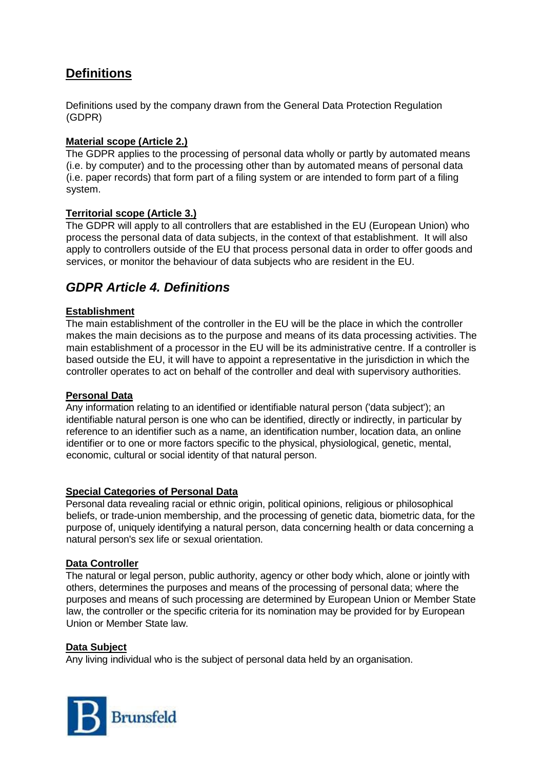## **Definitions**

Definitions used by the company drawn from the General Data Protection Regulation (GDPR)

### **Material scope (Article 2.)**

The GDPR applies to the processing of personal data wholly or partly by automated means (i.e. by computer) and to the processing other than by automated means of personal data (i.e. paper records) that form part of a filing system or are intended to form part of a filing system.

### **Territorial scope (Article 3.)**

The GDPR will apply to all controllers that are established in the EU (European Union) who process the personal data of data subjects, in the context of that establishment. It will also apply to controllers outside of the EU that process personal data in order to offer goods and services, or monitor the behaviour of data subjects who are resident in the EU.

## *GDPR Article 4. Definitions*

### **Establishment**

The main establishment of the controller in the EU will be the place in which the controller makes the main decisions as to the purpose and means of its data processing activities. The main establishment of a processor in the EU will be its administrative centre. If a controller is based outside the EU, it will have to appoint a representative in the jurisdiction in which the controller operates to act on behalf of the controller and deal with supervisory authorities.

#### **Personal Data**

Any information relating to an identified or identifiable natural person ('data subject'); an identifiable natural person is one who can be identified, directly or indirectly, in particular by reference to an identifier such as a name, an identification number, location data, an online identifier or to one or more factors specific to the physical, physiological, genetic, mental, economic, cultural or social identity of that natural person.

#### **Special Categories of Personal Data**

Personal data revealing racial or ethnic origin, political opinions, religious or philosophical beliefs, or trade-union membership, and the processing of genetic data, biometric data, for the purpose of, uniquely identifying a natural person, data concerning health or data concerning a natural person's sex life or sexual orientation.

#### **Data Controller**

The natural or legal person, public authority, agency or other body which, alone or jointly with others, determines the purposes and means of the processing of personal data; where the purposes and means of such processing are determined by European Union or Member State law, the controller or the specific criteria for its nomination may be provided for by European Union or Member State law.

#### **Data Subject**

Any living individual who is the subject of personal data held by an organisation.

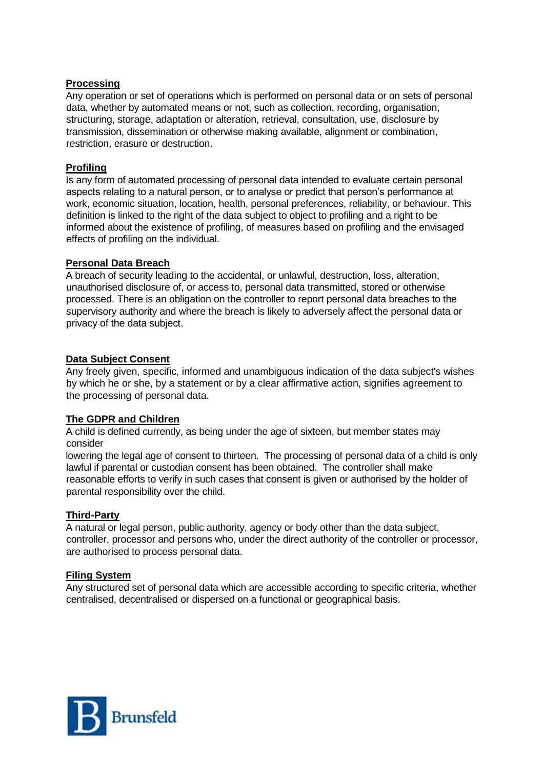### **Processing**

Any operation or set of operations which is performed on personal data or on sets of personal data, whether by automated means or not, such as collection, recording, organisation, structuring, storage, adaptation or alteration, retrieval, consultation, use, disclosure by transmission, dissemination or otherwise making available, alignment or combination, restriction, erasure or destruction.

#### **Profiling**

Is any form of automated processing of personal data intended to evaluate certain personal aspects relating to a natural person, or to analyse or predict that person's performance at work, economic situation, location, health, personal preferences, reliability, or behaviour. This definition is linked to the right of the data subject to object to profiling and a right to be informed about the existence of profiling, of measures based on profiling and the envisaged effects of profiling on the individual.

#### **Personal Data Breach**

A breach of security leading to the accidental, or unlawful, destruction, loss, alteration, unauthorised disclosure of, or access to, personal data transmitted, stored or otherwise processed. There is an obligation on the controller to report personal data breaches to the supervisory authority and where the breach is likely to adversely affect the personal data or privacy of the data subject.

### **Data Subject Consent**

Any freely given, specific, informed and unambiguous indication of the data subject's wishes by which he or she, by a statement or by a clear affirmative action, signifies agreement to the processing of personal data.

### **The GDPR and Children**

A child is defined currently, as being under the age of sixteen, but member states may consider

lowering the legal age of consent to thirteen. The processing of personal data of a child is only lawful if parental or custodian consent has been obtained. The controller shall make reasonable efforts to verify in such cases that consent is given or authorised by the holder of parental responsibility over the child.

#### **Third-Party**

A natural or legal person, public authority, agency or body other than the data subject, controller, processor and persons who, under the direct authority of the controller or processor, are authorised to process personal data.

#### **Filing System**

Any structured set of personal data which are accessible according to specific criteria, whether centralised, decentralised or dispersed on a functional or geographical basis.